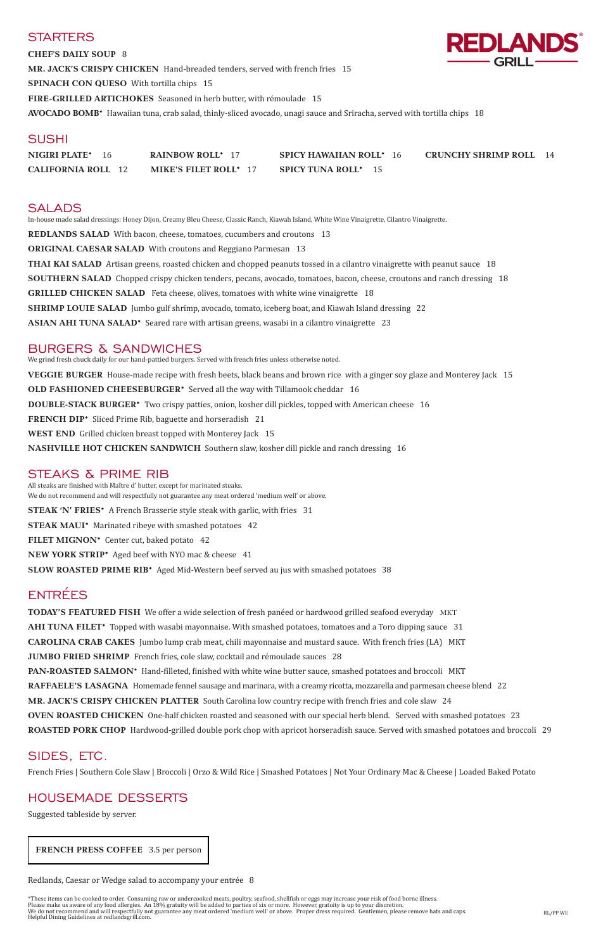### **STARTERS**

**CHEF'S DAILY SOUP** 8 **MR. JACK'S CRISPY CHICKEN** Hand-breaded tenders, served with french fries 15 **SPINACH CON QUESO** With tortilla chips 15 **FIRE-GRILLED ARTICHOKES** Seasoned in herb butter, with rémoulade 15 **AVOCADO BOMB\*** Hawaiian tuna, crab salad, thinly-sliced avocado, unagi sauce and Sriracha, served with tortilla chips 18

## **SUSHI**

| NIGIRI PLATE*             | <b>RAINBOW ROLL*</b> 17      | <b>SPICY HAWAIIAN ROLL* 16</b> | <b>CRUNCHY SHRIMP ROLL</b> |
|---------------------------|------------------------------|--------------------------------|----------------------------|
| <b>CALIFORNIA ROLL</b> 12 | <b>MIKE'S FILET ROLL*</b> 17 | <b>SPICY TUNA ROLL*</b> 15     |                            |

## SALADS

In-house made salad dressings: Honey Dijon, Creamy Bleu Cheese, Classic Ranch, Kiawah Island, White Wine Vinaigrette, Cilantro Vinaigrette.

**REDLANDS SALAD** With bacon, cheese, tomatoes, cucumbers and croutons 13 **ORIGINAL CAESAR SALAD** With croutons and Reggiano Parmesan 13 **THAI KAI SALAD** Artisan greens, roasted chicken and chopped peanuts tossed in a cilantro vinaigrette with peanut sauce 18 **SOUTHERN SALAD** Chopped crispy chicken tenders, pecans, avocado, tomatoes, bacon, cheese, croutons and ranch dressing 18 **GRILLED CHICKEN SALAD** Feta cheese, olives, tomatoes with white wine vinaigrette 18 **SHRIMP LOUIE SALAD** Jumbo gulf shrimp, avocado, tomato, iceberg boat, and Kiawah Island dressing 22 **ASIAN AHI TUNA SALAD\*** Seared rare with artisan greens, wasabi in a cilantro vinaigrette 23

### BURGERS & SANDWICHES

We grind fresh chuck daily for our hand-pattied burgers. Served with french fries unless otherwise noted. **VEGGIE BURGER** House-made recipe with fresh beets, black beans and brown rice with a ginger soy glaze and Monterey Jack 15 **OLD FASHIONED CHEESEBURGER\*** Served all the way with Tillamook cheddar 16 **DOUBLE-STACK BURGER\*** Two crispy patties, onion, kosher dill pickles, topped with American cheese 16 **FRENCH DIP\*** Sliced Prime Rib, baguette and horseradish 21 **WEST END** Grilled chicken breast topped with Monterey Jack 15 **NASHVILLE HOT CHICKEN SANDWICH** Southern slaw, kosher dill pickle and ranch dressing 16

**TODAY'S FEATURED FISH** We offer a wide selection of fresh panéed or hardwood grilled seafood everyday MKT **AHI TUNA FILET\*** Topped with wasabi mayonnaise. With smashed potatoes, tomatoes and a Toro dipping sauce 31 **CAROLINA CRAB CAKES** Jumbo lump crab meat, chili mayonnaise and mustard sauce. With french fries (LA) MKT **JUMBO FRIED SHRIMP** French fries, cole slaw, cocktail and rémoulade sauces 28 **PAN-ROASTED SALMON\*** Hand-filleted, finished with white wine butter sauce, smashed potatoes and broccoli MKT **RAFFAELE'S LASAGNA** Homemade fennel sausage and marinara, with a creamy ricotta, mozzarella and parmesan cheese blend 22 **MR. JACK'S CRISPY CHICKEN PLATTER** South Carolina low country recipe with french fries and cole slaw 24 **OVEN ROASTED CHICKEN** One-half chicken roasted and seasoned with our special herb blend. Served with smashed potatoes 23 **ROASTED PORK CHOP** Hardwood-grilled double pork chop with apricot horseradish sauce. Served with smashed potatoes and broccoli 29

### STEAKS & PRIME RIB

All steaks are finished with Maître d' butter, except for marinated steaks. We do not recommend and will respectfully not guarantee any meat ordered 'medium well' or above. **STEAK 'N' FRIES\*** A French Brasserie style steak with garlic, with fries 31 **STEAK MAUI\*** Marinated ribeye with smashed potatoes 42 **FILET MIGNON\*** Center cut, baked potato 42 **NEW YORK STRIP\*** Aged beef with NYO mac & cheese 41 **SLOW ROASTED PRIME RIB\*** Aged Mid-Western beef served au jus with smashed potatoes 38

# ENTRÉES

## SIDES, ETC.

French Fries | Southern Cole Slaw | Broccoli | Orzo & Wild Rice | Smashed Potatoes | Not Your Ordinary Mac & Cheese | Loaded Baked Potato

## HOUSEMADE DESSERTS

Suggested tableside by server.

Redlands, Caesar or Wedge salad to accompany your entrée 8

\*These items can be cooked to order. Consuming raw or undercooked meats, poultry, seafood, shellfish or eggs may increase your risk of food borne illness. Please make us aware of any food allergies. An 18% gratuity will be added to parties of six or more. However, gratuity is up to your discretion. We do not recommend and will respectfully not guarantee any meat ordered 'medium well' or above. Proper dress required. Gentlemen, please remove hats and caps. Helpful Dining Guidelines at redlandsgrill.com. RL/PP WE



 **FRENCH PRESS COFFEE** 3.5 per person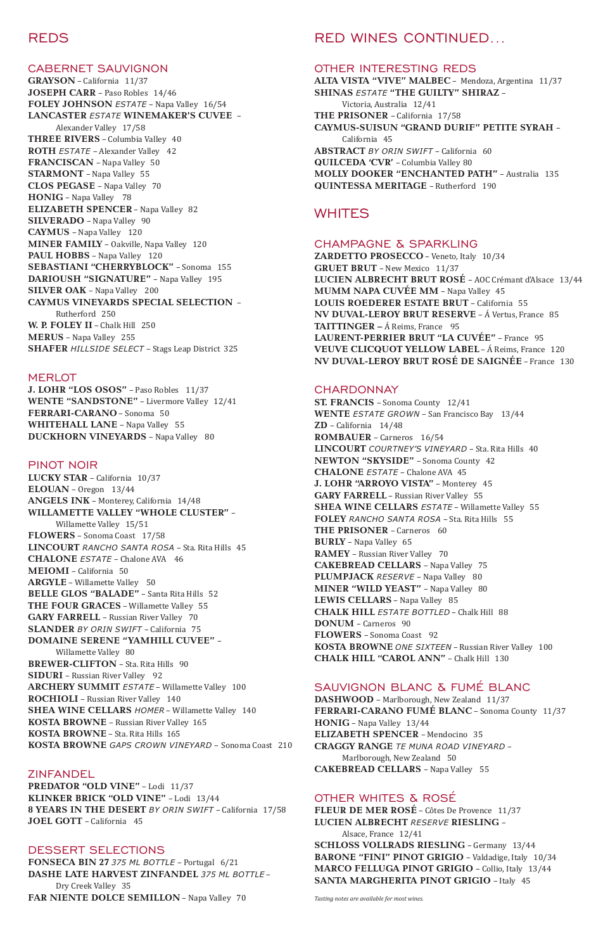## REDS

#### CABERNET SAUVIGNON

**GRAYSON** – California 11/37 **JOSEPH CARR** – Paso Robles 14/46 **FOLEY JOHNSON** *ESTATE* – Napa Valley 16/54 **LANCASTER** *ESTATE* **WINEMAKER'S CUVEE** – Alexander Valley 17/58 **THREE RIVERS** – Columbia Valley 40 **ROTH** *ESTATE* – Alexander Valley42 **FRANCISCAN** – Napa Valley 50 **STARMONT** – Napa Valley 55 **CLOS PEGASE** – Napa Valley 70 **HONIG** – Napa Valley78 **ELIZABETH SPENCER** – Napa Valley 82 **SILVERADO** – Napa Valley 90 **CAYMUS** – Napa Valley120 **MINER FAMILY** – Oakville, Napa Valley 120 **PAUL HOBBS** – Napa Valley120 **SEBASTIANI "CHERRYBLOCK"** – Sonoma 155 **DARIOUSH "SIGNATURE"** – Napa Valley 195 **SILVER OAK** – Napa Valley 200 **CAYMUS VINEYARDS SPECIAL SELECTION** – Rutherford 250 **W. P. FOLEY II** – Chalk Hill 250 **MERUS** – Napa Valley 255 **SHAFER** *HILLSIDE SELECT* – Stags Leap District 325

#### **MERLOT**

**J. LOHR "LOS OSOS"** – Paso Robles 11/37 **WENTE "SANDSTONE"** – Livermore Valley 12/41 **FERRARI-CARANO** – Sonoma 50 **WHITEHALL LANE** – Napa Valley 55 **DUCKHORN VINEYARDS** – Napa Valley80

#### PINOT NOIR

**LUCKY STAR** – California 10/37 **ELOUAN** – Oregon 13/44 **ANGELS INK** – Monterey, California 14/48 **WILLAMETTE VALLEY "WHOLE CLUSTER"** – Willamette Valley 15/51 **FLOWERS** – Sonoma Coast17/58 **LINCOURT** *RANCHO SANTA ROSA* – Sta. Rita Hills 45

**CHALONE** *ESTATE* – Chalone AVA46 **MEIOMI** – California 50 **ARGYLE** – Willamette Valley50 **BELLE GLOS "BALADE"** – Santa Rita Hills 52 **THE FOUR GRACES** – Willamette Valley 55 **GARY FARRELL** – Russian River Valley 70 **SLANDER** *BY ORIN SWIFT* – California 75 **DOMAINE SERENE "YAMHILL CUVEE"** – Willamette Valley 80 **BREWER-CLIFTON** – Sta. Rita Hills 90 **SIDURI** – Russian River Valley92 **ARCHERY SUMMIT** *ESTATE* – Willamette Valley 100

**ROCHIOLI** – Russian River Valley 140 **SHEA WINE CELLARS** *HOMER* – Willamette Valley 140 **KOSTA BROWNE** – Russian River Valley 165 **KOSTA BROWNE** – Sta. Rita Hills 165 **KOSTA BROWNE** *GAPS CROWN VINEYARD* – Sonoma Coast 210

## ZINFANDEL

**PREDATOR "OLD VINE"** – Lodi 11/37 **KLINKER BRICK "OLD VINE"** – Lodi 13/44 **8 YEARS IN THE DESERT** *BY ORIN SWIFT* – California 17/58 **JOEL GOTT** – California45

### DESSERT SELECTIONS

**FONSECA BIN 27** *375 ML BOTTLE* – Portugal 6/21 **DASHE LATE HARVEST ZINFANDEL** *375 ML BOTTLE* – Dry Creek Valley 35 **FAR NIENTE DOLCE SEMILLON** – Napa Valley 70

## RED WINES CONTINUED...

#### OTHER INTERESTING REDS

**ALTA VISTA "VIVE" MALBEC** – Mendoza, Argentina 11/37 **SHINAS** *ESTATE* **"THE GUILTY" SHIRAZ** – Victoria, Australia 12/41 **THE PRISONER** – California 17/58 **CAYMUS-SUISUN "GRAND DURIF" PETITE SYRAH** – California 45 **ABSTRACT** *BY ORIN SWIFT* – California 60 **QUILCEDA 'CVR'** – Columbia Valley 80 **MOLLY DOOKER "ENCHANTED PATH"** – Australia 135 **QUINTESSA MERITAGE** – Rutherford 190

## **WHITES**

#### CHAMPAGNE & SPARKLING

**ZARDETTO PROSECCO** – Veneto, Italy 10/34 **GRUET BRUT** – New Mexico 11/37 **LUCIEN ALBRECHT BRUT ROSÉ** – AOC Crémant d'Alsace 13/44 **MUMM NAPA CUVÉE MM - Napa Valley 45 LOUIS ROEDERER ESTATE BRUT** – California 55 **NV DUVAL-LEROY BRUT RESERVE** – Á Vertus, France 85 **TAITTINGER –** Á Reims, France95 **LAURENT-PERRIER BRUT "LA CUVÉE"** – France 95 **VEUVE CLICQUOT YELLOW LABEL** – Á Reims, France 120 **NV DUVAL-LEROY BRUT ROSÉ DE SAIGNÉE** – France 130

#### CHARDONNAY

**ST. FRANCIS** – Sonoma County 12/41 **WENTE** *ESTATE GROWN* – San Francisco Bay 13/44 **ZD** – California14/48 **ROMBAUER** – Carneros16/54 **LINCOURT** *COURTNEY'S VINEYARD* – Sta. Rita Hills40 **NEWTON "SKYSIDE"** – Sonoma County 42 **CHALONE** *ESTATE* – Chalone AVA 45 **J. LOHR "ARROYO VISTA"** – Monterey 45 **GARY FARRELL** – Russian River Valley 55 **SHEA WINE CELLARS** *ESTATE* – Willamette Valley 55 **FOLEY** *RANCHO SANTA ROSA* – Sta. Rita Hills 55 **THE PRISONER** – Carneros60 **BURLY** – Napa Valley 65 **RAMEY** – Russian River Valley 70 **CAKEBREAD CELLARS** – Napa Valley 75 **PLUMPJACK** *RESERVE* – Napa Valley80 **MINER "WILD YEAST"** - Napa Valley 80 **LEWIS CELLARS** – Napa Valley 85 **CHALK HILL** *ESTATE BOTTLED* – Chalk Hill 88 **DONUM** – Carneros 90 **FLOWERS** – Sonoma Coast 92 **KOSTA BROWNE** *ONE SIXTEEN* – Russian River Valley 100 **CHALK HILL "CAROL ANN"** – Chalk Hill 130

SAUVIGNON BLANC & FUMÉ BLANC

**DASHWOOD** – Marlborough, New Zealand 11/37 **FERRARI-CARANO FUMÉ BLANC** – Sonoma County 11/37 **HONIG** – Napa Valley 13/44 **ELIZABETH SPENCER** – Mendocino 35 **CRAGGY RANGE** *TE MUNA ROAD VINEYARD* – Marlborough, New Zealand 50 **CAKEBREAD CELLARS** – Napa Valley55

## OTHER WHITES & ROSÉ

**FLEUR DE MER ROSÉ** – Côtes De Provence 11/37 **LUCIEN ALBRECHT** *RESERVE* **RIESLING** –

Alsace, France 12/41 **SCHLOSS VOLLRADS RIESLING** – Germany 13/44 **BARONE "FINI" PINOT GRIGIO** – Valdadige, Italy 10/34 **MARCO FELLUGA PINOT GRIGIO** – Collio, Italy 13/44 **SANTA MARGHERITA PINOT GRIGIO** – Italy 45

*Tasting notes are available for most wines.*